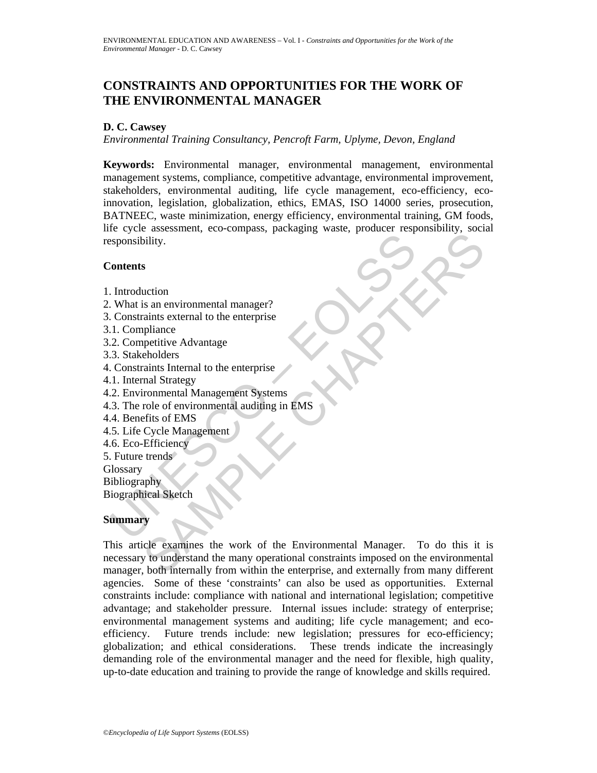# **CONSTRAINTS AND OPPORTUNITIES FOR THE WORK OF THE ENVIRONMENTAL MANAGER**

## **D. C. Cawsey**

*Environmental Training Consultancy, Pencroft Farm, Uplyme, Devon, England* 

Sponsibility.<br>
Scheme Scheme Market (State and Scheme Scheme Scheme Scheme Scheme Scheme Scheme Scheme Scheme Scheme Scheme Scheme Scheme Scheme Scheme Scheme Scheme Scheme Scheme Scheme Scheme Scheme Scheme Scheme Scheme **Keywords:** Environmental manager, environmental management, environmental management systems, compliance, competitive advantage, environmental improvement, stakeholders, environmental auditing, life cycle management, eco-efficiency, ecoinnovation, legislation, globalization, ethics, EMAS, ISO 14000 series, prosecution, BATNEEC, waste minimization, energy efficiency, environmental training, GM foods, life cycle assessment, eco-compass, packaging waste, producer responsibility, social responsibility.

### **Contents**

- 1. Introduction
- 2. What is an environmental manager?
- 3. Constraints external to the enterprise
- 3.1. Compliance
- 3.2. Competitive Advantage
- 3.3. Stakeholders
- 4. Constraints Internal to the enterprise
- 4.1. Internal Strategy
- 4.2. Environmental Management Systems
- 4.3. The role of environmental auditing in EMS
- 4.4. Benefits of EMS
- 4.5. Life Cycle Management
- 4.6. Eco-Efficiency
- 5. Future trends
- **Glossary**

**Bibliography** 

Biographical Sketch

### **Summary**

Experimental manager?<br>
Sa an environmental manager?<br>
Sa an environmental manager?<br>
Taints external to the enterprise<br>
cholders<br>
cholders<br>
cholders<br>
content Management Systems<br>
cole of environmental and diding in EMS<br>
Cycle This article examines the work of the Environmental Manager. To do this it is necessary to understand the many operational constraints imposed on the environmental manager, both internally from within the enterprise, and externally from many different agencies. Some of these 'constraints' can also be used as opportunities. External constraints include: compliance with national and international legislation; competitive advantage; and stakeholder pressure. Internal issues include: strategy of enterprise; environmental management systems and auditing; life cycle management; and ecoefficiency. Future trends include: new legislation; pressures for eco-efficiency; globalization; and ethical considerations. These trends indicate the increasingly demanding role of the environmental manager and the need for flexible, high quality, up-to-date education and training to provide the range of knowledge and skills required.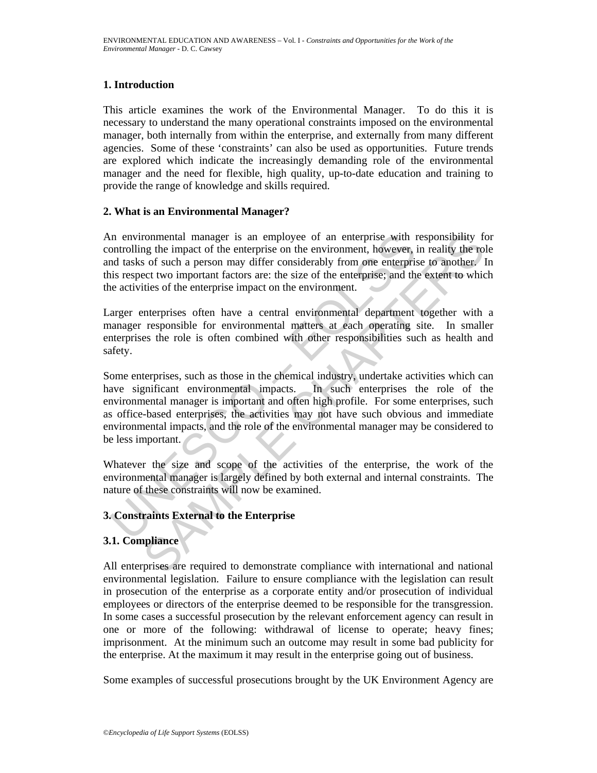## **1. Introduction**

This article examines the work of the Environmental Manager. To do this it is necessary to understand the many operational constraints imposed on the environmental manager, both internally from within the enterprise, and externally from many different agencies. Some of these 'constraints' can also be used as opportunities. Future trends are explored which indicate the increasingly demanding role of the environmental manager and the need for flexible, high quality, up-to-date education and training to provide the range of knowledge and skills required.

## **2. What is an Environmental Manager?**

An environmental manager is an employee of an enterprise with responsibility for controlling the impact of the enterprise on the environment, however, in reality the role and tasks of such a person may differ considerably from one enterprise to another. In this respect two important factors are: the size of the enterprise; and the extent to which the activities of the enterprise impact on the environment.

Larger enterprises often have a central environmental department together with a manager responsible for environmental matters at each operating site. In smaller enterprises the role is often combined with other responsibilities such as health and safety.

In environmental manager is an employee of an enterprise with n<br>ontrolling the impact of the enterprise on the environment, however, is<br>not tasks of such a person may differ considerably from one enterprise<br>is respect two rommental manager is an employee of an enterprise with responsibility for the enterprise on the enterprise on the enterprise on the enterprise of the charget of the enterprise on the enterprise to another. I predict two im Some enterprises, such as those in the chemical industry, undertake activities which can have significant environmental impacts. In such enterprises the role of the environmental manager is important and often high profile. For some enterprises, such as office-based enterprises, the activities may not have such obvious and immediate environmental impacts, and the role of the environmental manager may be considered to be less important.

Whatever the size and scope of the activities of the enterprise, the work of the environmental manager is largely defined by both external and internal constraints. The nature of these constraints will now be examined.

## **3. Constraints External to the Enterprise**

## **3.1. Compliance**

All enterprises are required to demonstrate compliance with international and national environmental legislation. Failure to ensure compliance with the legislation can result in prosecution of the enterprise as a corporate entity and/or prosecution of individual employees or directors of the enterprise deemed to be responsible for the transgression. In some cases a successful prosecution by the relevant enforcement agency can result in one or more of the following: withdrawal of license to operate; heavy fines; imprisonment. At the minimum such an outcome may result in some bad publicity for the enterprise. At the maximum it may result in the enterprise going out of business.

Some examples of successful prosecutions brought by the UK Environment Agency are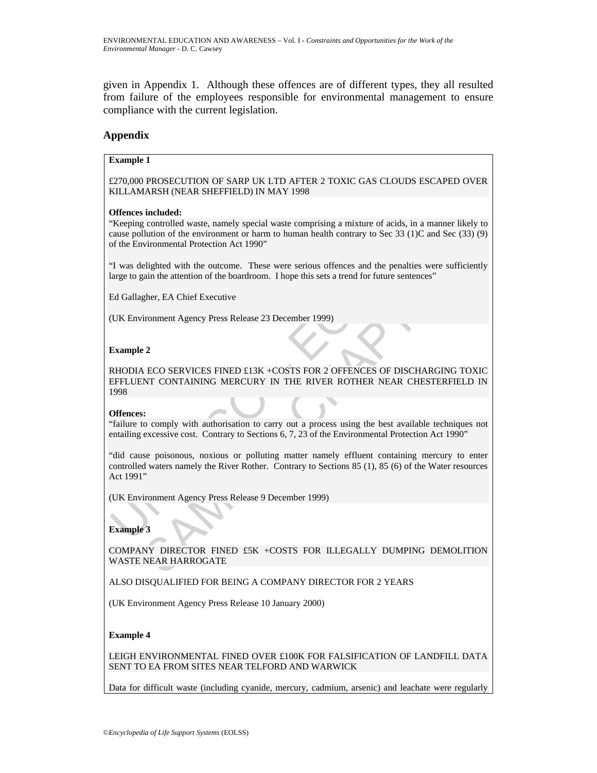given in Appendix 1. Although these offences are of different types, they all resulted from failure of the employees responsible for environmental management to ensure compliance with the current legislation.

#### **Appendix**

#### **Example 1**

£270,000 PROSECUTION OF SARP UK LTD AFTER 2 TOXIC GAS CLOUDS ESCAPED OVER KILLAMARSH (NEAR SHEFFIELD) IN MAY 1998

#### **Offences included:**

"Keeping controlled waste, namely special waste comprising a mixture of acids, in a manner likely to cause pollution of the environment or harm to human health contrary to Sec 33 (1)C and Sec (33) (9) of the Environmental Protection Act 1990"

"I was delighted with the outcome. These were serious offences and the penalties were sufficiently large to gain the attention of the boardroom. I hope this sets a trend for future sentences"

Ed Gallagher, EA Chief Executive

(UK Environment Agency Press Release 23 December 1999)

#### **Example 2**

RHODIA ECO SERVICES FINED £13K +COSTS FOR 2 OFFENCES OF DISCHARGING TOXIC EFFLUENT CONTAINING MERCURY IN THE RIVER ROTHER NEAR CHESTERFIELD IN 1998

#### **Offences:**

"failure to comply with authorisation to carry out a process using the best available techniques not entailing excessive cost. Contrary to Sections 6, 7, 23 of the Environmental Protection Act 1990"

cause pollution of the environment or harm to human health contrary to Sec 33 (1)<br>of the Environmental Protection Act 1990"<br>T' ava delighted with the outcome. These were serious offences and the penaltie<br>Farge to gain the Union of the environment or harm to human health contrary to Sec 33 (1)C and Sec (33) (9)<br>vironmental Protection Act 1990"<br>elighted with the outcome. These were serious offences and the penalties were sufficiently<br>gian the "did cause poisonous, noxious or polluting matter namely effluent containing mercury to enter controlled waters namely the River Rother. Contrary to Sections 85 (1), 85 (6) of the Water resources Act 1991"

(UK Environment Agency Press Release 9 December 1999)

#### **Example 3**

COMPANY DIRECTOR FINED £5K +COSTS FOR ILLEGALLY DUMPING DEMOLITION WASTE NEAR HARROGATE

ALSO DISQUALIFIED FOR BEING A COMPANY DIRECTOR FOR 2 YEARS

(UK Environment Agency Press Release 10 January 2000)

#### **Example 4**

LEIGH ENVIRONMENTAL FINED OVER £100K FOR FALSIFICATION OF LANDFILL DATA SENT TO EA FROM SITES NEAR TELFORD AND WARWICK

Data for difficult waste (including cyanide, mercury, cadmium, arsenic) and leachate were regularly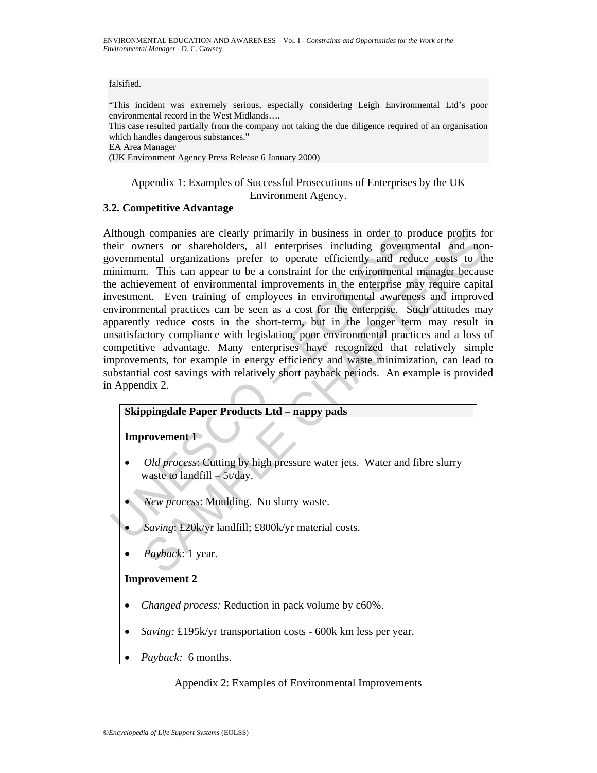#### falsified.

"This incident was extremely serious, especially considering Leigh Environmental Ltd's poor environmental record in the West Midlands…. This case resulted partially from the company not taking the due diligence required of an organisation which handles dangerous substances." EA Area Manager

(UK Environment Agency Press Release 6 January 2000)

Appendix 1: Examples of Successful Prosecutions of Enterprises by the UK Environment Agency.

### **3.2. Competitive Advantage**

Theory of shares are clearly primarily in business in order to previous<br>portal comparison of shareholders, all enterprises including governmental organizations prefer to operate efficiently and reduinimum. This can appear To comparing a reclearly primarily in business in order to produce profits for<br>nears or shareholders, all enterprises including governmental and non-<br>near or shareholders, all enterprises including governmental and non-<br>ne Although companies are clearly primarily in business in order to produce profits for their owners or shareholders, all enterprises including governmental and nongovernmental organizations prefer to operate efficiently and reduce costs to the minimum. This can appear to be a constraint for the environmental manager because the achievement of environmental improvements in the enterprise may require capital investment. Even training of employees in environmental awareness and improved environmental practices can be seen as a cost for the enterprise. Such attitudes may apparently reduce costs in the short-term, but in the longer term may result in unsatisfactory compliance with legislation, poor environmental practices and a loss of competitive advantage. Many enterprises have recognized that relatively simple improvements, for example in energy efficiency and waste minimization, can lead to substantial cost savings with relatively short payback periods. An example is provided in Appendix 2.

## **Skippingdale Paper Products Ltd – nappy pads**

**Improvement 1** 

- *Old process:* Cutting by high pressure water jets. Water and fibre slurry waste to landfill – 5t/day.
- *New process*: Moulding. No slurry waste.
- *Saving*: £20k/yr landfill; £800k/yr material costs.
- *Payback*: 1 year.

### **Improvement 2**

- *Changed process:* Reduction in pack volume by c60%.
- *Saving:* £195k/yr transportation costs 600k km less per year.
- *Payback:* 6 months.

### Appendix 2: Examples of Environmental Improvements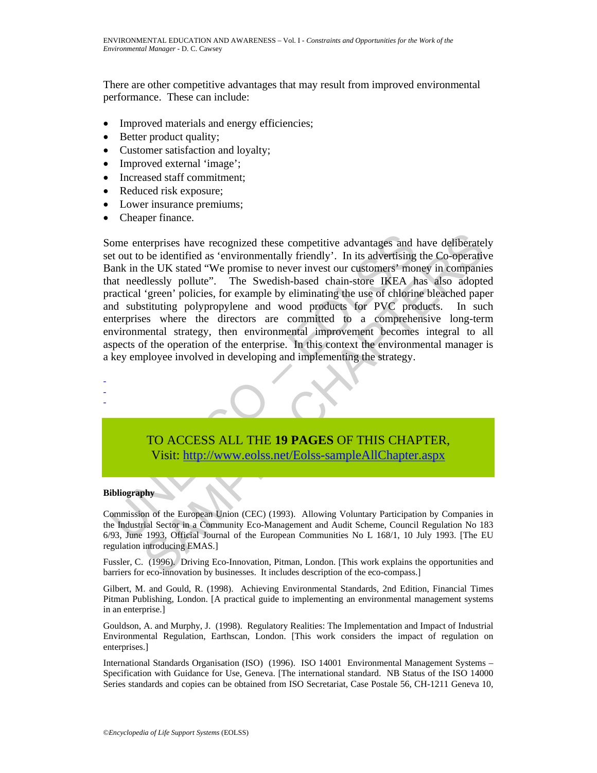There are other competitive advantages that may result from improved environmental performance. These can include:

- Improved materials and energy efficiencies;
- Better product quality;
- Customer satisfaction and loyalty;
- Improved external 'image';
- Increased staff commitment;
- Reduced risk exposure;
- Lower insurance premiums;
- Cheaper finance.

ome enterprises have recognized these competitive advantages and is<br>to ut to be identified as 'environmentally friendly'. In its advertising<br>ank in the UK stated "We promise to never invest our customers" mot<br>at needlessly terprises have recognized these competitive advantages and have defiberated<br>be identified as 'environmentally friendly'. In its advertising the Co-operative<br>he UK stated "We promise to never investor or customers" money in Some enterprises have recognized these competitive advantages and have deliberately set out to be identified as 'environmentally friendly'. In its advertising the Co-operative Bank in the UK stated "We promise to never invest our customers' money in companies that needlessly pollute". The Swedish-based chain-store IKEA has also adopted practical 'green' policies, for example by eliminating the use of chlorine bleached paper and substituting polypropylene and wood products for PVC products. In such enterprises where the directors are committed to a comprehensive long-term environmental strategy, then environmental improvement becomes integral to all aspects of the operation of the enterprise. In this context the environmental manager is a key employee involved in developing and implementing the strategy.



# TO ACCESS ALL THE **19 PAGES** OF THIS CHAPTER, Visit: http://www.eolss.net/Eolss-sampleAllChapter.aspx

#### **Bibliography**

Commission of the European Union (CEC) (1993). Allowing Voluntary Participation by Companies in the Industrial Sector in a Community Eco-Management and Audit Scheme, Council Regulation No 183 6/93, June 1993, Official Journal of the European Communities No L 168/1, 10 July 1993. [The EU regulation introducing EMAS.]

Fussler, C. (1996). Driving Eco-Innovation, Pitman, London. [This work explains the opportunities and barriers for eco-innovation by businesses. It includes description of the eco-compass.]

Gilbert, M. and Gould, R. (1998). Achieving Environmental Standards, 2nd Edition, Financial Times Pitman Publishing, London. [A practical guide to implementing an environmental management systems in an enterprise.]

Gouldson, A. and Murphy, J. (1998). Regulatory Realities: The Implementation and Impact of Industrial Environmental Regulation, Earthscan, London. [This work considers the impact of regulation on enterprises.]

International Standards Organisation (ISO) (1996). ISO 14001 Environmental Management Systems – Specification with Guidance for Use, Geneva. [The international standard. NB Status of the ISO 14000 Series standards and copies can be obtained from ISO Secretariat, Case Postale 56, CH-1211 Geneva 10,